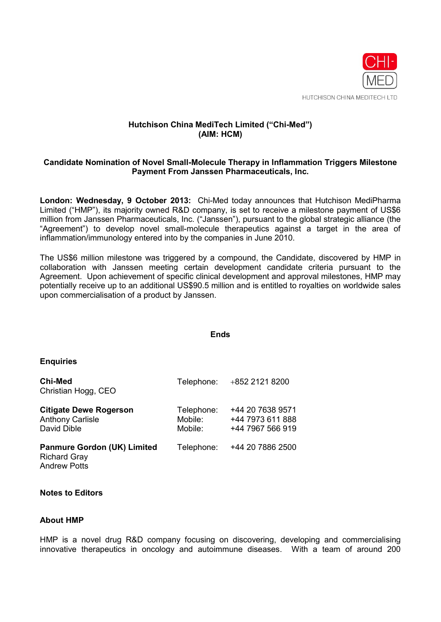

# **Hutchison China MediTech Limited ("Chi-Med") (AIM: HCM)**

## **Candidate Nomination of Novel Small-Molecule Therapy in Inflammation Triggers Milestone Payment From Janssen Pharmaceuticals, Inc.**

**London: Wednesday, 9 October 2013:** Chi-Med today announces that Hutchison MediPharma Limited ("HMP"), its majority owned R&D company, is set to receive a milestone payment of US\$6 million from Janssen Pharmaceuticals, Inc. ("Janssen"), pursuant to the global strategic alliance (the "Agreement") to develop novel small-molecule therapeutics against a target in the area of inflammation/immunology entered into by the companies in June 2010.

The US\$6 million milestone was triggered by a compound, the Candidate, discovered by HMP in collaboration with Janssen meeting certain development candidate criteria pursuant to the Agreement. Upon achievement of specific clinical development and approval milestones, HMP may potentially receive up to an additional US\$90.5 million and is entitled to royalties on worldwide sales upon commercialisation of a product by Janssen.

#### **Ends**

#### **Enquiries**

| <b>Chi-Med</b><br>Christian Hogg, CEO                                            | Telephone:                       | +852 2121 8200                                           |
|----------------------------------------------------------------------------------|----------------------------------|----------------------------------------------------------|
| <b>Citigate Dewe Rogerson</b><br><b>Anthony Carlisle</b><br>David Dible          | Telephone:<br>Mobile:<br>Mobile: | +44 20 7638 9571<br>+44 7973 611 888<br>+44 7967 566 919 |
| <b>Panmure Gordon (UK) Limited</b><br><b>Richard Gray</b><br><b>Andrew Potts</b> | Telephone:                       | +44 20 7886 2500                                         |

### **Notes to Editors**

#### **About HMP**

HMP is a novel drug R&D company focusing on discovering, developing and commercialising innovative therapeutics in oncology and autoimmune diseases. With a team of around 200